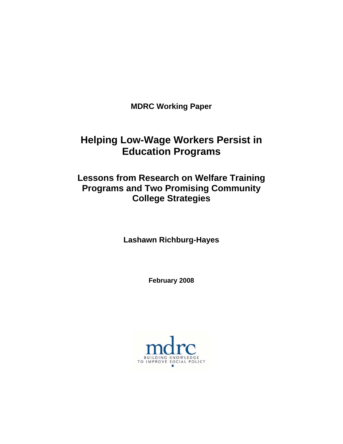**MDRC Working Paper** 

# **Helping Low-Wage Workers Persist in Education Programs**

# **Lessons from Research on Welfare Training Programs and Two Promising Community College Strategies**

**Lashawn Richburg-Hayes** 

**February 2008** 

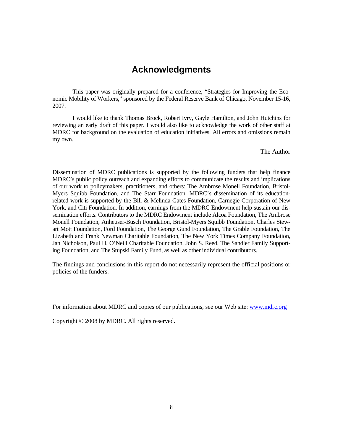# **Acknowledgments**

This paper was originally prepared for a conference, "Strategies for Improving the Economic Mobility of Workers," sponsored by the Federal Reserve Bank of Chicago, November 15-16, 2007.

I would like to thank Thomas Brock, Robert Ivry, Gayle Hamilton, and John Hutchins for reviewing an early draft of this paper. I would also like to acknowledge the work of other staff at MDRC for background on the evaluation of education initiatives. All errors and omissions remain my own.

The Author

Dissemination of MDRC publications is supported by the following funders that help finance MDRC's public policy outreach and expanding efforts to communicate the results and implications of our work to policymakers, practitioners, and others: The Ambrose Monell Foundation, Bristol-Myers Squibb Foundation, and The Starr Foundation. MDRC's dissemination of its educationrelated work is supported by the Bill & Melinda Gates Foundation, Carnegie Corporation of New York, and Citi Foundation. In addition, earnings from the MDRC Endowment help sustain our dissemination efforts. Contributors to the MDRC Endowment include Alcoa Foundation, The Ambrose Monell Foundation, Anheuser-Busch Foundation, Bristol-Myers Squibb Foundation, Charles Stewart Mott Foundation, Ford Foundation, The George Gund Foundation, The Grable Foundation, The Lizabeth and Frank Newman Charitable Foundation, The New York Times Company Foundation, Jan Nicholson, Paul H. O'Neill Charitable Foundation, John S. Reed, The Sandler Family Supporting Foundation, and The Stupski Family Fund, as well as other individual contributors.

The findings and conclusions in this report do not necessarily represent the official positions or policies of the funders.

For information about MDRC and copies of our publications, see our Web site: www.mdrc.org

Copyright © 2008 by MDRC. All rights reserved.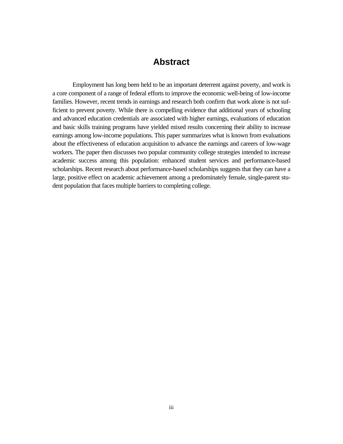# **Abstract**

Employment has long been held to be an important deterrent against poverty, and work is a core component of a range of federal efforts to improve the economic well-being of low-income families. However, recent trends in earnings and research both confirm that work alone is not sufficient to prevent poverty. While there is compelling evidence that additional years of schooling and advanced education credentials are associated with higher earnings, evaluations of education and basic skills training programs have yielded mixed results concerning their ability to increase earnings among low-income populations. This paper summarizes what is known from evaluations about the effectiveness of education acquisition to advance the earnings and careers of low-wage workers. The paper then discusses two popular community college strategies intended to increase academic success among this population: enhanced student services and performance-based scholarships. Recent research about performance-based scholarships suggests that they can have a large, positive effect on academic achievement among a predominately female, single-parent student population that faces multiple barriers to completing college.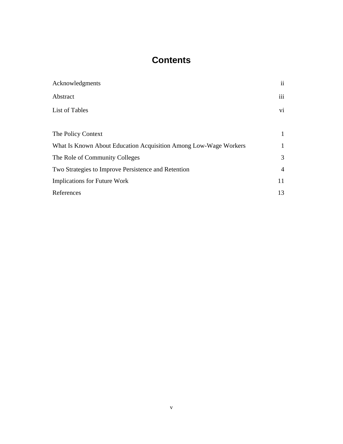# **Contents**

| Acknowledgments                                                  | $\ddot{\mathbf{i}}$ |
|------------------------------------------------------------------|---------------------|
| Abstract                                                         | iii                 |
| List of Tables                                                   | vi                  |
|                                                                  |                     |
| The Policy Context                                               | 1                   |
| What Is Known About Education Acquisition Among Low-Wage Workers | 1                   |
| The Role of Community Colleges                                   | 3                   |
| Two Strategies to Improve Persistence and Retention              | 4                   |
| <b>Implications for Future Work</b>                              | 11                  |
| References                                                       | 13                  |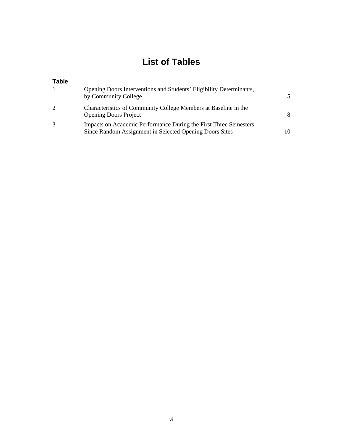# **List of Tables**

### **Table**

| 1 | Opening Doors Interventions and Students' Eligibility Determinants,<br>by Community College                                 | 5  |
|---|-----------------------------------------------------------------------------------------------------------------------------|----|
| 2 | Characteristics of Community College Members at Baseline in the<br><b>Opening Doors Project</b>                             | 8  |
| 3 | Impacts on Academic Performance During the First Three Semesters<br>Since Random Assignment in Selected Opening Doors Sites | 10 |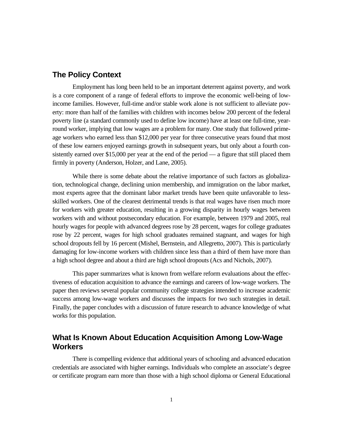### **The Policy Context**

Employment has long been held to be an important deterrent against poverty, and work is a core component of a range of federal efforts to improve the economic well-being of lowincome families. However, full-time and/or stable work alone is not sufficient to alleviate poverty: more than half of the families with children with incomes below 200 percent of the federal poverty line (a standard commonly used to define low income) have at least one full-time, yearround worker, implying that low wages are a problem for many. One study that followed primeage workers who earned less than \$12,000 per year for three consecutive years found that most of these low earners enjoyed earnings growth in subsequent years, but only about a fourth consistently earned over \$15,000 per year at the end of the period — a figure that still placed them firmly in poverty (Anderson, Holzer, and Lane, 2005).

While there is some debate about the relative importance of such factors as globalization, technological change, declining union membership, and immigration on the labor market, most experts agree that the dominant labor market trends have been quite unfavorable to lessskilled workers. One of the clearest detrimental trends is that real wages have risen much more for workers with greater education, resulting in a growing disparity in hourly wages between workers with and without postsecondary education. For example, between 1979 and 2005, real hourly wages for people with advanced degrees rose by 28 percent, wages for college graduates rose by 22 percent, wages for high school graduates remained stagnant, and wages for high school dropouts fell by 16 percent (Mishel, Bernstein, and Allegretto, 2007). This is particularly damaging for low-income workers with children since less than a third of them have more than a high school degree and about a third are high school dropouts (Acs and Nichols, 2007).

This paper summarizes what is known from welfare reform evaluations about the effectiveness of education acquisition to advance the earnings and careers of low-wage workers. The paper then reviews several popular community college strategies intended to increase academic success among low-wage workers and discusses the impacts for two such strategies in detail. Finally, the paper concludes with a discussion of future research to advance knowledge of what works for this population.

## **What Is Known About Education Acquisition Among Low-Wage Workers**

There is compelling evidence that additional years of schooling and advanced education credentials are associated with higher earnings. Individuals who complete an associate's degree or certificate program earn more than those with a high school diploma or General Educational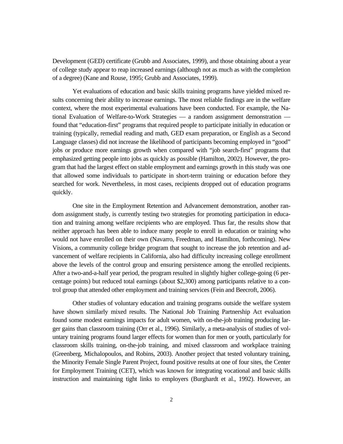Development (GED) certificate (Grubb and Associates, 1999), and those obtaining about a year of college study appear to reap increased earnings (although not as much as with the completion of a degree) (Kane and Rouse, 1995; Grubb and Associates, 1999).

Yet evaluations of education and basic skills training programs have yielded mixed results concerning their ability to increase earnings. The most reliable findings are in the welfare context, where the most experimental evaluations have been conducted. For example, the National Evaluation of Welfare-to-Work Strategies — a random assignment demonstration found that "education-first" programs that required people to participate initially in education or training (typically, remedial reading and math, GED exam preparation, or English as a Second Language classes) did not increase the likelihood of participants becoming employed in "good" jobs or produce more earnings growth when compared with "job search-first" programs that emphasized getting people into jobs as quickly as possible (Hamilton, 2002). However, the program that had the largest effect on stable employment and earnings growth in this study was one that allowed some individuals to participate in short-term training or education before they searched for work. Nevertheless, in most cases, recipients dropped out of education programs quickly.

One site in the Employment Retention and Advancement demonstration, another random assignment study, is currently testing two strategies for promoting participation in education and training among welfare recipients who are employed. Thus far, the results show that neither approach has been able to induce many people to enroll in education or training who would not have enrolled on their own (Navarro, Freedman, and Hamilton, forthcoming). New Visions, a community college bridge program that sought to increase the job retention and advancement of welfare recipients in California, also had difficulty increasing college enrollment above the levels of the control group and ensuring persistence among the enrolled recipients. After a two-and-a-half year period, the program resulted in slightly higher college-going (6 percentage points) but reduced total earnings (about \$2,300) among participants relative to a control group that attended other employment and training services (Fein and Beecroft, 2006).

Other studies of voluntary education and training programs outside the welfare system have shown similarly mixed results. The National Job Training Partnership Act evaluation found some modest earnings impacts for adult women, with on-the-job training producing larger gains than classroom training (Orr et al., 1996). Similarly, a meta-analysis of studies of voluntary training programs found larger effects for women than for men or youth, particularly for classroom skills training, on-the-job training, and mixed classroom and workplace training (Greenberg, Michalopoulos, and Robins, 2003). Another project that tested voluntary training, the Minority Female Single Parent Project, found positive results at one of four sites, the Center for Employment Training (CET), which was known for integrating vocational and basic skills instruction and maintaining tight links to employers (Burghardt et al., 1992). However, an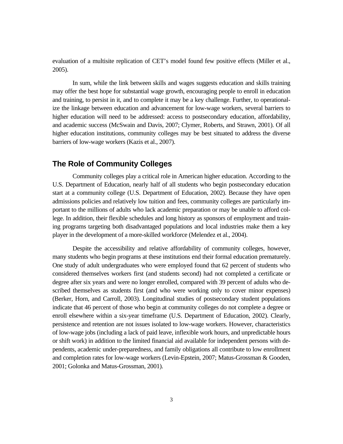evaluation of a multisite replication of CET's model found few positive effects (Miller et al., 2005).

In sum, while the link between skills and wages suggests education and skills training may offer the best hope for substantial wage growth, encouraging people to enroll in education and training, to persist in it, and to complete it may be a key challenge. Further, to operationalize the linkage between education and advancement for low-wage workers, several barriers to higher education will need to be addressed: access to postsecondary education, affordability, and academic success (McSwain and Davis, 2007; Clymer, Roberts, and Strawn, 2001). Of all higher education institutions, community colleges may be best situated to address the diverse barriers of low-wage workers (Kazis et al., 2007).

## **The Role of Community Colleges**

Community colleges play a critical role in American higher education. According to the U.S. Department of Education, nearly half of all students who begin postsecondary education start at a community college (U.S. Department of Education, 2002). Because they have open admissions policies and relatively low tuition and fees, community colleges are particularly important to the millions of adults who lack academic preparation or may be unable to afford college. In addition, their flexible schedules and long history as sponsors of employment and training programs targeting both disadvantaged populations and local industries make them a key player in the development of a more-skilled workforce (Melendez et al., 2004).

Despite the accessibility and relative affordability of community colleges, however, many students who begin programs at these institutions end their formal education prematurely. One study of adult undergraduates who were employed found that 62 percent of students who considered themselves workers first (and students second) had not completed a certificate or degree after six years and were no longer enrolled, compared with 39 percent of adults who described themselves as students first (and who were working only to cover minor expenses) (Berker, Horn, and Carroll, 2003). Longitudinal studies of postsecondary student populations indicate that 46 percent of those who begin at community colleges do not complete a degree or enroll elsewhere within a six-year timeframe (U.S. Department of Education, 2002). Clearly, persistence and retention are not issues isolated to low-wage workers. However, characteristics of low-wage jobs (including a lack of paid leave, inflexible work hours, and unpredictable hours or shift work) in addition to the limited financial aid available for independent persons with dependents, academic under-preparedness, and family obligations all contribute to low enrollment and completion rates for low-wage workers (Levin-Epstein, 2007; Matus-Grossman & Gooden, 2001; Golonka and Matus-Grossman, 2001).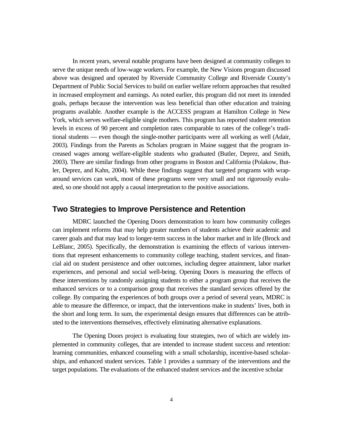In recent years, several notable programs have been designed at community colleges to serve the unique needs of low-wage workers. For example, the New Visions program discussed above was designed and operated by Riverside Community College and Riverside County's Department of Public Social Services to build on earlier welfare reform approaches that resulted in increased employment and earnings. As noted earlier, this program did not meet its intended goals, perhaps because the intervention was less beneficial than other education and training programs available. Another example is the ACCESS program at Hamilton College in New York, which serves welfare-eligible single mothers. This program has reported student retention levels in excess of 90 percent and completion rates comparable to rates of the college's traditional students — even though the single-mother participants were all working as well (Adair, 2003). Findings from the Parents as Scholars program in Maine suggest that the program increased wages among welfare-eligible students who graduated (Butler, Deprez, and Smith, 2003). There are similar findings from other programs in Boston and California (Polakow, Butler, Deprez, and Kahn, 2004). While these findings suggest that targeted programs with wraparound services can work, most of these programs were very small and not rigorously evaluated, so one should not apply a causal interpretation to the positive associations.

#### **Two Strategies to Improve Persistence and Retention**

MDRC launched the Opening Doors demonstration to learn how community colleges can implement reforms that may help greater numbers of students achieve their academic and career goals and that may lead to longer-term success in the labor market and in life (Brock and LeBlanc, 2005). Specifically, the demonstration is examining the effects of various interventions that represent enhancements to community college teaching, student services, and financial aid on student persistence and other outcomes, including degree attainment, labor market experiences, and personal and social well-being. Opening Doors is measuring the effects of these interventions by randomly assigning students to either a program group that receives the enhanced services or to a comparison group that receives the standard services offered by the college. By comparing the experiences of both groups over a period of several years, MDRC is able to measure the difference, or impact, that the interventions make in students' lives, both in the short and long term. In sum, the experimental design ensures that differences can be attributed to the interventions themselves, effectively eliminating alternative explanations.

The Opening Doors project is evaluating four strategies, two of which are widely implemented in community colleges, that are intended to increase student success and retention: learning communities, enhanced counseling with a small scholarship, incentive-based scholarships, and enhanced student services. Table 1 provides a summary of the interventions and the target populations. The evaluations of the enhanced student services and the incentive scholar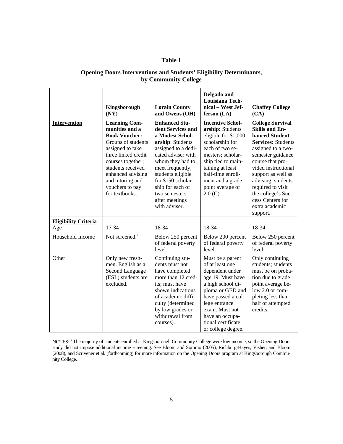#### **Table 1**

#### **Opening Doors Interventions and Students' Eligibility Determinants, by Community College**

|                                    | Kingsborough<br>(NY)                                                                                                                                                                                                                                    | <b>Lorain County</b><br>and Owens (OH)                                                                                                                                                                                                                                                   | Delgado and<br><b>Louisiana Tech-</b><br>nical - West Jef-<br>ferson (LA)                                                                                                                                                                           | <b>Chaffey College</b><br>(CA)                                                                                                                                                                                                                                                                                                 |
|------------------------------------|---------------------------------------------------------------------------------------------------------------------------------------------------------------------------------------------------------------------------------------------------------|------------------------------------------------------------------------------------------------------------------------------------------------------------------------------------------------------------------------------------------------------------------------------------------|-----------------------------------------------------------------------------------------------------------------------------------------------------------------------------------------------------------------------------------------------------|--------------------------------------------------------------------------------------------------------------------------------------------------------------------------------------------------------------------------------------------------------------------------------------------------------------------------------|
| <b>Intervention</b>                | <b>Learning Com-</b><br>munities and a<br><b>Book Voucher:</b><br>Groups of students<br>assigned to take<br>three linked credit<br>courses together;<br>students received<br>enhanced advising<br>and tutoring and<br>vouchers to pay<br>for textbooks. | <b>Enhanced Stu-</b><br>dent Services and<br>a Modest Schol-<br>arship: Students<br>assigned to a dedi-<br>cated adviser with<br>whom they had to<br>meet frequently;<br>students eligible<br>for \$150 scholar-<br>ship for each of<br>two semesters<br>after meetings<br>with adviser. | <b>Incentive Schol-</b><br>arship: Students<br>eligible for \$1,000<br>scholarship for<br>each of two se-<br>mesters; scholar-<br>ship tied to main-<br>taining at least<br>half-time enroll-<br>ment and a grade<br>point average of<br>$2.0(C)$ . | <b>College Survival</b><br><b>Skills and En-</b><br>hanced Student<br><b>Services: Students</b><br>assigned to a two-<br>semester guidance<br>course that pro-<br>vided instructional<br>support as well as<br>advising; students<br>required to visit<br>the college's Suc-<br>cess Centers for<br>extra academic<br>support. |
| <b>Eligibility Criteria</b><br>Age | 17-34                                                                                                                                                                                                                                                   | 18-34                                                                                                                                                                                                                                                                                    | 18-34                                                                                                                                                                                                                                               | 18-34                                                                                                                                                                                                                                                                                                                          |
| Household Income                   | Not screened. <sup>a</sup>                                                                                                                                                                                                                              | Below 250 percent<br>of federal poverty<br>level.                                                                                                                                                                                                                                        | Below 200 percent<br>of federal poverty<br>level.                                                                                                                                                                                                   | Below 250 percent<br>of federal poverty<br>level.                                                                                                                                                                                                                                                                              |
| Other                              | Only new fresh-<br>men. English as a<br>Second Language<br>(ESL) students are<br>excluded.                                                                                                                                                              | Continuing stu-<br>dents must not<br>have completed<br>more than 12 cred-<br>its; must have<br>shown indications<br>of academic diffi-<br>culty (determined<br>by low grades or<br>withdrawal from<br>courses).                                                                          | Must be a parent<br>of at least one<br>dependent under<br>age 19. Must have<br>a high school di-<br>ploma or GED and<br>have passed a col-<br>lege entrance<br>exam. Must not<br>have an occupa-<br>tional certificate<br>or college degree.        | Only continuing<br>students; students<br>must be on proba-<br>tion due to grade<br>point average be-<br>low 2.0 or com-<br>pleting less than<br>half of attempted<br>credits.                                                                                                                                                  |

NOTES: <sup>a</sup> The majority of students enrolled at Kingsborough Community College were low income, so the Opening Doors study did not impose additional income screening. See Bloom and Sommo (2005), Richburg-Hayes, Visher, and Bloom (2008), and Scrivener et al. (forthcoming) for more information on the Opening Doors program at Kingsborough Community College.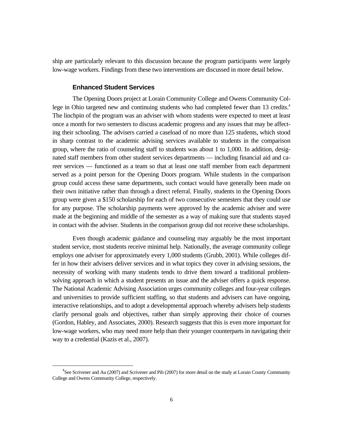ship are particularly relevant to this discussion because the program participants were largely low-wage workers. Findings from these two interventions are discussed in more detail below.

#### **Enhanced Student Services**

The Opening Doors project at Lorain Community College and Owens Community College in Ohio targeted new and continuing students who had completed fewer than 13 credits.<sup>4</sup> The linchpin of the program was an adviser with whom students were expected to meet at least once a month for two semesters to discuss academic progress and any issues that may be affecting their schooling. The advisers carried a caseload of no more than 125 students, which stood in sharp contrast to the academic advising services available to students in the comparison group, where the ratio of counseling staff to students was about 1 to 1,000. In addition, designated staff members from other student services departments — including financial aid and career services — functioned as a team so that at least one staff member from each department served as a point person for the Opening Doors program. While students in the comparison group could access these same departments, such contact would have generally been made on their own initiative rather than through a direct referral. Finally, students in the Opening Doors group were given a \$150 scholarship for each of two consecutive semesters that they could use for any purpose. The scholarship payments were approved by the academic adviser and were made at the beginning and middle of the semester as a way of making sure that students stayed in contact with the adviser. Students in the comparison group did not receive these scholarships.

Even though academic guidance and counseling may arguably be the most important student service, most students receive minimal help. Nationally, the average community college employs one adviser for approximately every 1,000 students (Grubb, 2001). While colleges differ in how their advisers deliver services and in what topics they cover in advising sessions, the necessity of working with many students tends to drive them toward a traditional problemsolving approach in which a student presents an issue and the adviser offers a quick response. The National Academic Advising Association urges community colleges and four-year colleges and universities to provide sufficient staffing, so that students and advisers can have ongoing, interactive relationships, and to adopt a developmental approach whereby advisers help students clarify personal goals and objectives, rather than simply approving their choice of courses (Gordon, Habley, and Associates, 2000). Research suggests that this is even more important for low-wage workers, who may need more help than their younger counterparts in navigating their way to a credential (Kazis et al., 2007).

 $\overline{4}$  ${}^{4}$ See Scrivener and Au (2007) and Scrivener and Pih (2007) for more detail on the study at Lorain County Community College and Owens Community College, respectively.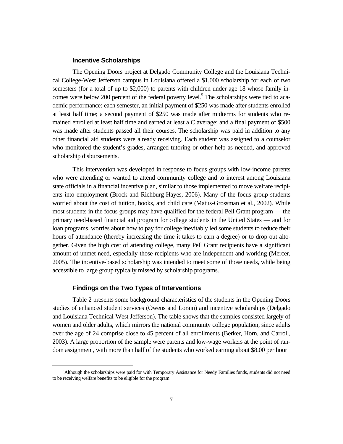#### **Incentive Scholarships**

The Opening Doors project at Delgado Community College and the Louisiana Technical College-West Jefferson campus in Louisiana offered a \$1,000 scholarship for each of two semesters (for a total of up to \$2,000) to parents with children under age 18 whose family incomes were below 200 percent of the federal poverty level.<sup>5</sup> The scholarships were tied to academic performance: each semester, an initial payment of \$250 was made after students enrolled at least half time; a second payment of \$250 was made after midterms for students who remained enrolled at least half time and earned at least a C average; and a final payment of \$500 was made after students passed all their courses. The scholarship was paid in addition to any other financial aid students were already receiving. Each student was assigned to a counselor who monitored the student's grades, arranged tutoring or other help as needed, and approved scholarship disbursements.

This intervention was developed in response to focus groups with low-income parents who were attending or wanted to attend community college and to interest among Louisiana state officials in a financial incentive plan, similar to those implemented to move welfare recipients into employment (Brock and Richburg-Hayes, 2006). Many of the focus group students worried about the cost of tuition, books, and child care (Matus-Grossman et al., 2002). While most students in the focus groups may have qualified for the federal Pell Grant program — the primary need-based financial aid program for college students in the United States — and for loan programs, worries about how to pay for college inevitably led some students to reduce their hours of attendance (thereby increasing the time it takes to earn a degree) or to drop out altogether. Given the high cost of attending college, many Pell Grant recipients have a significant amount of unmet need, especially those recipients who are independent and working (Mercer, 2005). The incentive-based scholarship was intended to meet some of those needs, while being accessible to large group typically missed by scholarship programs.

#### **Findings on the Two Types of Interventions**

Table 2 presents some background characteristics of the students in the Opening Doors studies of enhanced student services (Owens and Lorain) and incentive scholarships (Delgado and Louisiana Technical-West Jefferson). The table shows that the samples consisted largely of women and older adults, which mirrors the national community college population, since adults over the age of 24 comprise close to 45 percent of all enrollments (Berker, Horn, and Carroll, 2003). A large proportion of the sample were parents and low-wage workers at the point of random assignment, with more than half of the students who worked earning about \$8.00 per hour

 $\frac{1}{5}$ <sup>5</sup>Although the scholarships were paid for with Temporary Assistance for Needy Families funds, students did not need to be receiving welfare benefits to be eligible for the program.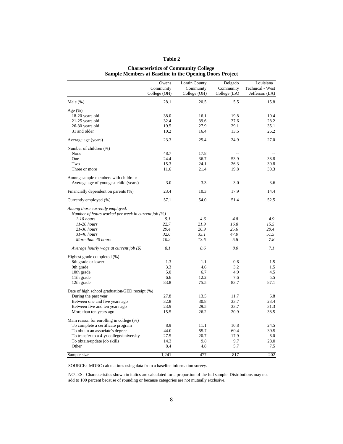#### **Table 2**

#### **Characteristics of Community College Sample Members at Baseline in the Opening Doors Project**

|                                                    | Owens        | Lorain County | Delgado        | Louisiana               |
|----------------------------------------------------|--------------|---------------|----------------|-------------------------|
|                                                    | Community    | Community     | Community      | <b>Technical - West</b> |
|                                                    | College (OH) | College (OH)  | College (LA)   | Jefferson (LA)          |
| Male $(\%)$                                        | 28.1         | 20.5          | 5.5            | 15.8                    |
| Age $(\%)$                                         |              |               |                |                         |
| 18-20 years old                                    | 38.0         | 16.1          | 19.8           | 10.4                    |
| 21-25 years old                                    | 32.4         | 39.6          | 37.6           | 28.2                    |
| 26-30 years old                                    | 19.5         | 27.9          | 29.1           | 35.1                    |
| 31 and older                                       | 10.2         | 16.4          | 13.5           | 26.2                    |
| Average age (years)                                | 23.3         | 25.4          | 24.9           | 27.0                    |
| Number of children (%)                             |              |               |                |                         |
| None                                               | 48.7         | 17.8          | $\overline{a}$ |                         |
| One                                                | 24.4         | 36.7          | 53.9           | 38.8                    |
| Two                                                | 15.3         | 24.1          | 26.3           | 30.8                    |
| Three or more                                      | 11.6         | 21.4          | 19.8           | 30.3                    |
| Among sample members with children:                |              |               |                |                         |
| Average age of youngest child (years)              | 3.0          | 3.3           | 3.0            | 3.6                     |
| Financially dependent on parents (%)               | 23.4         | 10.3          | 17.9           | 14.4                    |
| Currently employed (%)                             | 57.1         | 54.0          | 51.4           | 52.5                    |
| Among those currently employed:                    |              |               |                |                         |
| Number of hours worked per week in current job (%) |              |               |                |                         |
| $1-10$ hours                                       | 5.1          | 4.6           | 4.8            | 4.9                     |
| $11-20$ hours                                      | 22.7         | 21.9          | 16.8           | 15.5                    |
| $21-30$ hours                                      | 29.4         | 26.9          | 25.6           | 20.4                    |
| 31-40 hours                                        | 32.6         | 33.1          | 47.0           | 51.5                    |
| More than 40 hours                                 | 10.2         | 13.6          | 5.8            | 7.8                     |
| Average hourly wage at current job (\$)            | 8.1          | 8.6           | 8.0            | 7.1                     |
| Highest grade completed (%)                        |              |               |                |                         |
| 8th grade or lower                                 | 1.3          | 1.1           | 0.6            | 1.5                     |
| 9th grade                                          | 3.3          | 4.6           | 3.2            | 1.5                     |
| 10th grade                                         | 5.0          | 6.7           | 4.9            | 4.5                     |
| 11th grade                                         | 6.6          | 12.2          | 7.6            | 5.5                     |
| 12th grade                                         | 83.8         | 75.5          | 83.7           | 87.1                    |
| Date of high school graduation/GED receipt (%)     |              |               |                |                         |
| During the past year                               | 27.8         | 13.5          | 11.7           | 6.8                     |
| Between one and five years ago                     | 32.8         | 30.8          | 33.7           | 23.4                    |
| Between five and ten years ago                     | 23.9         | 29.5          | 33.7           | 31.3                    |
| More than ten years ago                            | 15.5         | 26.2          | 20.9           | 38.5                    |
| Main reason for enrolling in college (%)           |              |               |                |                         |
| To complete a certificate program                  | 8.9          | 11.1          | 10.8           | 24.5                    |
| To obtain an associate's degree                    | 44.0         | 55.7          | 60.4           | 39.5                    |
| To transfer to a 4-yr college/university           | 27.5         | 20.7          | 17.9           | 6.0                     |
| To obtain/update job skills                        | 14.3         | 9.8           | 9.7            | 28.0                    |
| Other                                              | 8.4          | 4.8           | 5.7            | 7.5                     |
| Sample size                                        | 1,241        | 477           | 817            | 202                     |

SOURCE: MDRC calculations using data from a baseline information survey.

NOTES: Characteristics shown in italics are calculated for a proportion of the full sample. Distributions may not add to 100 percent because of rounding or because categories are not mutually exclusive.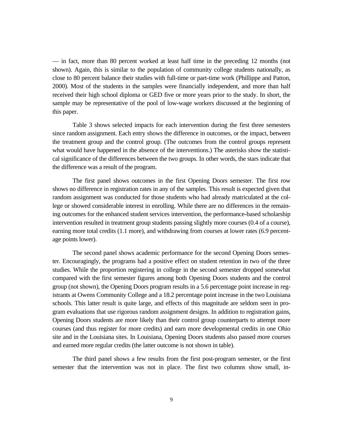— in fact, more than 80 percent worked at least half time in the preceding 12 months (not shown). Again, this is similar to the population of community college students nationally, as close to 80 percent balance their studies with full-time or part-time work (Phillippe and Patton, 2000). Most of the students in the samples were financially independent, and more than half received their high school diploma or GED five or more years prior to the study. In short, the sample may be representative of the pool of low-wage workers discussed at the beginning of this paper.

Table 3 shows selected impacts for each intervention during the first three semesters since random assignment. Each entry shows the difference in outcomes, or the impact, between the treatment group and the control group. (The outcomes from the control groups represent what would have happened in the absence of the interventions.) The asterisks show the statistical significance of the differences between the two groups. In other words, the stars indicate that the difference was a result of the program.

The first panel shows outcomes in the first Opening Doors semester. The first row shows no difference in registration rates in any of the samples. This result is expected given that random assignment was conducted for those students who had already matriculated at the college or showed considerable interest in enrolling. While there are no differences in the remaining outcomes for the enhanced student services intervention, the performance-based scholarship intervention resulted in treatment group students passing slightly more courses (0.4 of a course), earning more total credits (1.1 more), and withdrawing from courses at lower rates (6.9 percentage points lower).

The second panel shows academic performance for the second Opening Doors semester. Encouragingly, the programs had a positive effect on student retention in two of the three studies. While the proportion registering in college in the second semester dropped somewhat compared with the first semester figures among both Opening Doors students and the control group (not shown), the Opening Doors program results in a 5.6 percentage point increase in registrants at Owens Community College and a 18.2 percentage point increase in the two Louisiana schools. This latter result is quite large, and effects of this magnitude are seldom seen in program evaluations that use rigorous random assignment designs. In addition to registration gains, Opening Doors students are more likely than their control group counterparts to attempt more courses (and thus register for more credits) and earn more developmental credits in one Ohio site and in the Louisiana sites. In Louisiana, Opening Doors students also passed more courses and earned more regular credits (the latter outcome is not shown in table).

The third panel shows a few results from the first post-program semester, or the first semester that the intervention was not in place. The first two columns show small, in-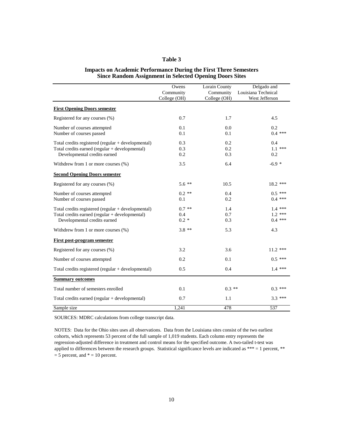#### **Table 3**

#### **Impacts on Academic Performance During the First Three Semesters Since Random Assignment in Selected Opening Doors Sites**

|                                                      | Owens        | Lorain County | Delgado and         |
|------------------------------------------------------|--------------|---------------|---------------------|
|                                                      | Community    | Community     | Louisiana Technical |
|                                                      | College (OH) | College (OH)  | West Jefferson      |
| <b>First Opening Doors semester</b>                  |              |               |                     |
| Registered for any courses (%)                       | 0.7          | 1.7           | 4.5                 |
| Number of courses attempted                          | 0.1          | 0.0           | 0.2                 |
| Number of courses passed                             | 0.1          | 0.1           | $0.4$ ***           |
| Total credits registered (regular $+$ developmental) | 0.3          | 0.2           | 0.4                 |
| Total credits earned (regular + developmental)       | 0.3          | 0.2           | $1.1$ ***           |
| Developmental credits earned                         | 0.2          | 0.3           | 0.2                 |
| Withdrew from 1 or more courses (%)                  | 3.5          | 6.4           | $-6.9 *$            |
| <b>Second Opening Doors semester</b>                 |              |               |                     |
| Registered for any courses (%)                       | $5.6$ **     | 10.5          | $18.2$ ***          |
| Number of courses attempted                          | $0.2$ **     | 0.4           | $0.5$ ***           |
| Number of courses passed                             | 0.1          | 0.2           | $0.4$ ***           |
| Total credits registered (regular + developmental)   | $0.7$ **     | 1.4           | $1.4$ ***           |
| Total credits earned (regular + developmental)       | 0.4          | 0.7           | $1.2$ ***           |
| Developmental credits earned                         | $0.2 *$      | 0.3           | $0.4$ ***           |
| Withdrew from 1 or more courses (%)                  | $3.8**$      | 5.3           | 4.3                 |
| <b>First post-program semester</b>                   |              |               |                     |
| Registered for any courses (%)                       | 3.2          | 3.6           | $11.2$ ***          |
| Number of courses attempted                          | 0.2          | 0.1           | $0.5$ ***           |
| Total credits registered (regular + developmental)   | 0.5          | 0.4           | $1.4***$            |
| <b>Summary outcomes</b>                              |              |               |                     |
| Total number of semesters enrolled                   | 0.1          | $0.3$ **      | $0.3***$            |
| Total credits earned (regular + developmental)       | 0.7          | 1.1           | $3.3***$            |
| Sample size                                          | 1,241        | 478           | $\overline{537}$    |

SOURCES: MDRC calculations from college transcript data.

NOTES: Data for the Ohio sites uses all observations. Data from the Louisiana sites consist of the two earliest cohorts, which represents 53 percent of the full sample of 1,019 students. Each column entry represents the regression-adjusted difference in treatment and control means for the specified outcome. A two-tailed t-test was applied to differences between the research groups. Statistical significance levels are indicated as \*\*\* = 1 percent, \*\*  $= 5$  percent, and  $* = 10$  percent.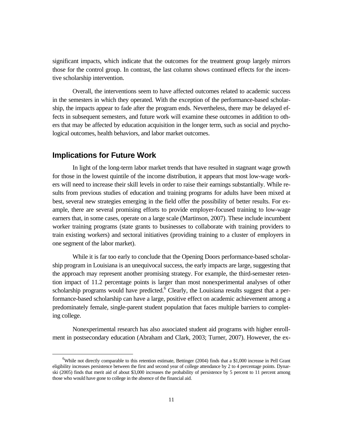significant impacts, which indicate that the outcomes for the treatment group largely mirrors those for the control group. In contrast, the last column shows continued effects for the incentive scholarship intervention.

Overall, the interventions seem to have affected outcomes related to academic success in the semesters in which they operated. With the exception of the performance-based scholarship, the impacts appear to fade after the program ends. Nevertheless, there may be delayed effects in subsequent semesters, and future work will examine these outcomes in addition to others that may be affected by education acquisition in the longer term, such as social and psychological outcomes, health behaviors, and labor market outcomes.

#### **Implications for Future Work**

In light of the long-term labor market trends that have resulted in stagnant wage growth for those in the lowest quintile of the income distribution, it appears that most low-wage workers will need to increase their skill levels in order to raise their earnings substantially. While results from previous studies of education and training programs for adults have been mixed at best, several new strategies emerging in the field offer the possibility of better results. For example, there are several promising efforts to provide employer-focused training to low-wage earners that, in some cases, operate on a large scale (Martinson, 2007). These include incumbent worker training programs (state grants to businesses to collaborate with training providers to train existing workers) and sectoral initiatives (providing training to a cluster of employers in one segment of the labor market).

While it is far too early to conclude that the Opening Doors performance-based scholarship program in Louisiana is an unequivocal success, the early impacts are large, suggesting that the approach may represent another promising strategy. For example, the third-semester retention impact of 11.2 percentage points is larger than most nonexperimental analyses of other scholarship programs would have predicted. $6$  Clearly, the Louisiana results suggest that a performance-based scholarship can have a large, positive effect on academic achievement among a predominately female, single-parent student population that faces multiple barriers to completing college.

Nonexperimental research has also associated student aid programs with higher enrollment in postsecondary education (Abraham and Clark, 2003; Turner, 2007). However, the ex-

 <sup>6</sup>  $6$ While not directly comparable to this retention estimate, Bettinger (2004) finds that a \$1,000 increase in Pell Grant eligibility increases persistence between the first and second year of college attendance by 2 to 4 percentage points. Dynarski (2005) finds that merit aid of about \$3,000 increases the probability of persistence by 5 percent to 11 percent among those who would have gone to college in the absence of the financial aid.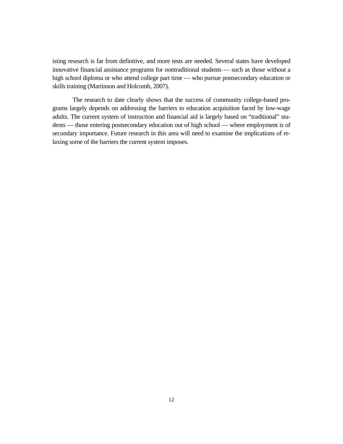isting research is far from definitive, and more tests are needed. Several states have developed innovative financial assistance programs for nontraditional students — such as those without a high school diploma or who attend college part time — who pursue postsecondary education or skills training (Martinson and Holcomb, 2007).

The research to date clearly shows that the success of community college-based programs largely depends on addressing the barriers to education acquisition faced by low-wage adults. The current system of instruction and financial aid is largely based on "traditional" students — those entering postsecondary education out of high school — where employment is of secondary importance. Future research in this area will need to examine the implications of relaxing some of the barriers the current system imposes.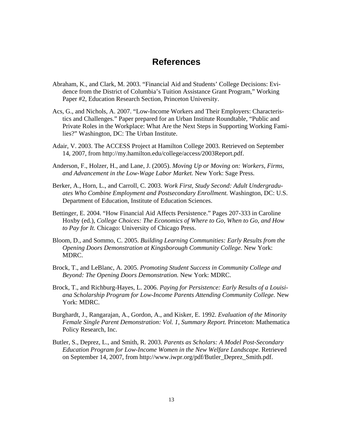## **References**

- Abraham, K., and Clark, M. 2003. "Financial Aid and Students' College Decisions: Evidence from the District of Columbia's Tuition Assistance Grant Program," Working Paper #2, Education Research Section, Princeton University.
- Acs, G., and Nichols, A. 2007. "Low-Income Workers and Their Employers: Characteristics and Challenges." Paper prepared for an Urban Institute Roundtable, "Public and Private Roles in the Workplace: What Are the Next Steps in Supporting Working Families?" Washington, DC: The Urban Institute.
- Adair, V. 2003. The ACCESS Project at Hamilton College 2003. Retrieved on September 14, 2007, from http://my.hamilton.edu/college/access/2003Report.pdf.
- Anderson, F., Holzer, H., and Lane, J. (2005). *Moving Up or Moving on: Workers, Firms, and Advancement in the Low-Wage Labor Market.* New York: Sage Press.
- Berker, A., Horn, L., and Carroll, C. 2003. *Work First, Study Second: Adult Undergraduates Who Combine Employment and Postsecondary Enrollment.* Washington, DC: U.S. Department of Education, Institute of Education Sciences.
- Bettinger, E. 2004. "How Financial Aid Affects Persistence." Pages 207-333 in Caroline Hoxby (ed.), *College Choices: The Economics of Where to Go, When to Go, and How to Pay for It.* Chicago: University of Chicago Press.
- Bloom, D., and Sommo, C. 2005. *Building Learning Communities: Early Results from the Opening Doors Demonstration at Kingsborough Community College.* New York: MDRC.
- Brock, T., and LeBlanc, A. 2005. *Promoting Student Success in Community College and Beyond: The Opening Doors Demonstration.* New York: MDRC.
- Brock, T., and Richburg-Hayes, L. 2006. *Paying for Persistence: Early Results of a Louisiana Scholarship Program for Low-Income Parents Attending Community College.* New York: MDRC.
- Burghardt, J., Rangarajan, A., Gordon, A., and Kisker, E. 1992. *Evaluation of the Minority Female Single Parent Demonstration: Vol. 1, Summary Report.* Princeton: Mathematica Policy Research, Inc.
- Butler, S., Deprez, L., and Smith, R. 2003. *Parents as Scholars: A Model Post-Secondary Education Program for Low-Income Women in the New Welfare Landscape*. Retrieved on September 14, 2007, from http://www.iwpr.org/pdf/Butler\_Deprez\_Smith.pdf.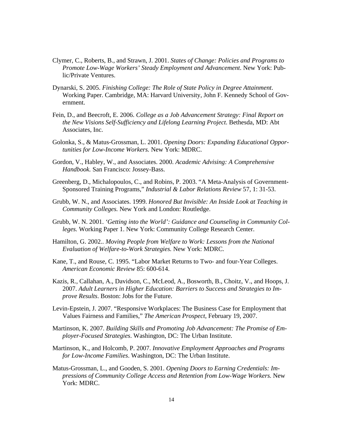- Clymer, C., Roberts, B., and Strawn, J. 2001. *States of Change: Policies and Programs to Promote Low-Wage Workers' Steady Employment and Advancement*. New York: Public/Private Ventures.
- Dynarski, S. 2005. *Finishing College: The Role of State Policy in Degree Attainment*. Working Paper. Cambridge, MA: Harvard University, John F. Kennedy School of Government.
- Fein, D., and Beecroft, E. 2006. *College as a Job Advancement Strategy: Final Report on the New Visions Self-Sufficiency and Lifelong Learning Project*. Bethesda, MD: Abt Associates, Inc.
- Golonka, S., & Matus-Grossman, L. 2001. *Opening Doors: Expanding Educational Opportunities for Low-Income Workers.* New York: MDRC.
- Gordon, V., Habley, W., and Associates. 2000. *Academic Advising: A Comprehensive Handbook.* San Francisco: Jossey-Bass.
- Greenberg, D., Michalopoulos, C., and Robins, P. 2003. "A Meta-Analysis of Government-Sponsored Training Programs," *Industrial & Labor Relations Review* 57, 1: 31-53.
- Grubb, W. N., and Associates. 1999. *Honored But Invisible: An Inside Look at Teaching in Community Colleges.* New York and London: Routledge.
- Grubb, W. N. 2001. *'Getting into the World': Guidance and Counseling in Community Colleges.* Working Paper 1. New York: Community College Research Center.
- Hamilton, G. 2002.. *Moving People from Welfare to Work: Lessons from the National Evaluation of Welfare-to-Work Strategies.* New York: MDRC.
- Kane, T., and Rouse, C. 1995. "Labor Market Returns to Two- and four-Year Colleges. *American Economic Review* 85: 600-614.
- Kazis, R., Callahan, A., Davidson, C., McLeod, A., Bosworth, B., Choitz, V., and Hoops, J. 2007. *Adult Learners in Higher Education: Barriers to Success and Strategies to Improve Results*. Boston: Jobs for the Future.
- Levin-Epstein, J. 2007. "Responsive Workplaces: The Business Case for Employment that Values Fairness and Families," *The American Prospect*, February 19, 2007.
- Martinson, K. 2007. *Building Skills and Promoting Job Advancement: The Promise of Employer-Focused Strategies*. Washington, DC: The Urban Institute.
- Martinson, K., and Holcomb, P. 2007. *Innovative Employment Approaches and Programs for Low-Income Families*. Washington, DC: The Urban Institute.
- Matus-Grossman, L., and Gooden, S. 2001. *Opening Doors to Earning Credentials: Impressions of Community College Access and Retention from Low-Wage Workers.* New York: MDRC.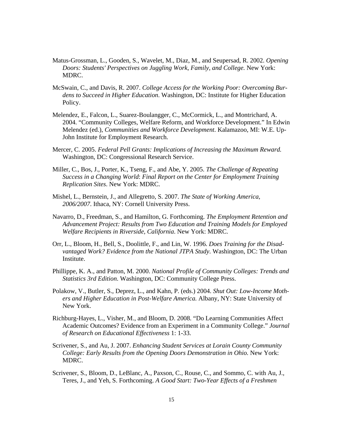- Matus-Grossman, L., Gooden, S., Wavelet, M., Diaz, M., and Seupersad, R. 2002. *Opening Doors: Students' Perspectives on Juggling Work, Family, and College.* New York: MDRC.
- McSwain, C., and Davis, R. 2007. *College Access for the Working Poor: Overcoming Burdens to Succeed in Higher Education*. Washington, DC: Institute for Higher Education Policy.
- Melendez, E., Falcon, L., Suarez-Boulangger, C., McCormick, L., and Montrichard, A. 2004. "Community Colleges, Welfare Reform, and Workforce Development." In Edwin Melendez (ed.), *Communities and Workforce Development*. Kalamazoo, MI: W.E. Up-John Institute for Employment Research.
- Mercer, C. 2005. *Federal Pell Grants: Implications of Increasing the Maximum Reward.* Washington, DC: Congressional Research Service.
- Miller, C., Bos, J., Porter, K., Tseng, F., and Abe, Y. 2005. *The Challenge of Repeating Success in a Changing World*: *Final Report on the Center for Employment Training Replication Sites*. New York: MDRC.
- Mishel, L., Bernstein, J., and Allegretto, S. 2007. *The State of Working America, 2006/2007*. Ithaca, NY: Cornell University Press.
- Navarro, D., Freedman, S., and Hamilton, G. Forthcoming. *The Employment Retention and Advancement Project: Results from Two Education and Training Models for Employed Welfare Recipients in Riverside, California*. New York: MDRC.
- Orr, L., Bloom, H., Bell, S., Doolittle, F., and Lin, W. 1996. *Does Training for the Disadvantaged Work? Evidence from the National JTPA Study*. Washington, DC: The Urban Institute.
- Phillippe, K. A., and Patton, M. 2000. *National Profile of Community Colleges: Trends and Statistics 3rd Edition*. Washington, DC: Community College Press.
- Polakow, V., Butler, S., Deprez, L., and Kahn, P. (eds.) 2004. *Shut Out: Low-Income Mothers and Higher Education in Post-Welfare America.* Albany, NY: State University of New York.
- Richburg-Hayes, L., Visher, M., and Bloom, D. 2008. "Do Learning Communities Affect Academic Outcomes? Evidence from an Experiment in a Community College." *Journal of Research on Educational Effectiveness* 1: 1-33.
- Scrivener, S., and Au, J. 2007. *Enhancing Student Services at Lorain County Community College: Early Results from the Opening Doors Demonstration in Ohio.* New York: MDRC.
- Scrivener, S., Bloom, D., LeBlanc, A., Paxson, C., Rouse, C., and Sommo, C. with Au, J., Teres, J., and Yeh, S. Forthcoming. *A Good Start: Two-Year Effects of a Freshmen*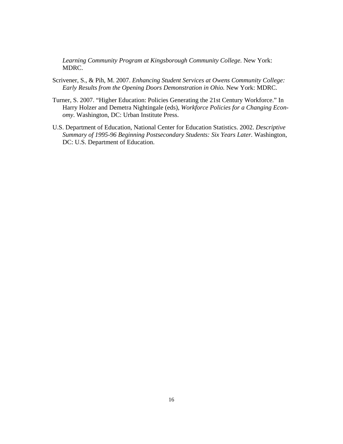*Learning Community Program at Kingsborough Community College.* New York: MDRC.

- Scrivener, S., & Pih, M. 2007. *Enhancing Student Services at Owens Community College: Early Results from the Opening Doors Demonstration in Ohio.* New York: MDRC.
- Turner, S. 2007. "Higher Education: Policies Generating the 21st Century Workforce." In Harry Holzer and Demetra Nightingale (eds), *Workforce Policies for a Changing Economy*. Washington, DC: Urban Institute Press.
- U.S. Department of Education, National Center for Education Statistics. 2002. *Descriptive Summary of 1995-96 Beginning Postsecondary Students: Six Years Later.* Washington, DC: U.S. Department of Education.